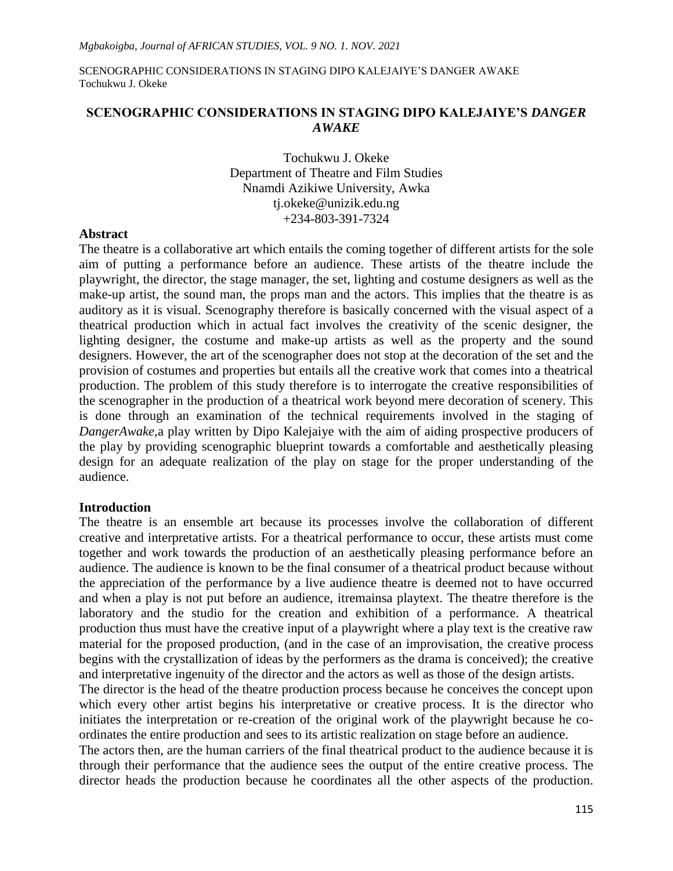## **SCENOGRAPHIC CONSIDERATIONS IN STAGING DIPO KALEJAIYE'S** *DANGER AWAKE*

Tochukwu J. Okeke Department of Theatre and Film Studies Nnamdi Azikiwe University, Awka [tj.okeke@unizik.edu.ng](mailto:tj.okeke@unizik.edu.ng) +234-803-391-7324

#### **Abstract**

The theatre is a collaborative art which entails the coming together of different artists for the sole aim of putting a performance before an audience. These artists of the theatre include the playwright, the director, the stage manager, the set, lighting and costume designers as well as the make-up artist, the sound man, the props man and the actors. This implies that the theatre is as auditory as it is visual. Scenography therefore is basically concerned with the visual aspect of a theatrical production which in actual fact involves the creativity of the scenic designer, the lighting designer, the costume and make-up artists as well as the property and the sound designers. However, the art of the scenographer does not stop at the decoration of the set and the provision of costumes and properties but entails all the creative work that comes into a theatrical production. The problem of this study therefore is to interrogate the creative responsibilities of the scenographer in the production of a theatrical work beyond mere decoration of scenery. This is done through an examination of the technical requirements involved in the staging of *DangerAwake,*a play written by Dipo Kalejaiye with the aim of aiding prospective producers of the play by providing scenographic blueprint towards a comfortable and aesthetically pleasing design for an adequate realization of the play on stage for the proper understanding of the audience.

### **Introduction**

The theatre is an ensemble art because its processes involve the collaboration of different creative and interpretative artists. For a theatrical performance to occur, these artists must come together and work towards the production of an aesthetically pleasing performance before an audience. The audience is known to be the final consumer of a theatrical product because without the appreciation of the performance by a live audience theatre is deemed not to have occurred and when a play is not put before an audience, itremainsa playtext. The theatre therefore is the laboratory and the studio for the creation and exhibition of a performance. A theatrical production thus must have the creative input of a playwright where a play text is the creative raw material for the proposed production, (and in the case of an improvisation, the creative process begins with the crystallization of ideas by the performers as the drama is conceived); the creative and interpretative ingenuity of the director and the actors as well as those of the design artists.

The director is the head of the theatre production process because he conceives the concept upon which every other artist begins his interpretative or creative process. It is the director who initiates the interpretation or re-creation of the original work of the playwright because he coordinates the entire production and sees to its artistic realization on stage before an audience.

The actors then, are the human carriers of the final theatrical product to the audience because it is through their performance that the audience sees the output of the entire creative process. The director heads the production because he coordinates all the other aspects of the production.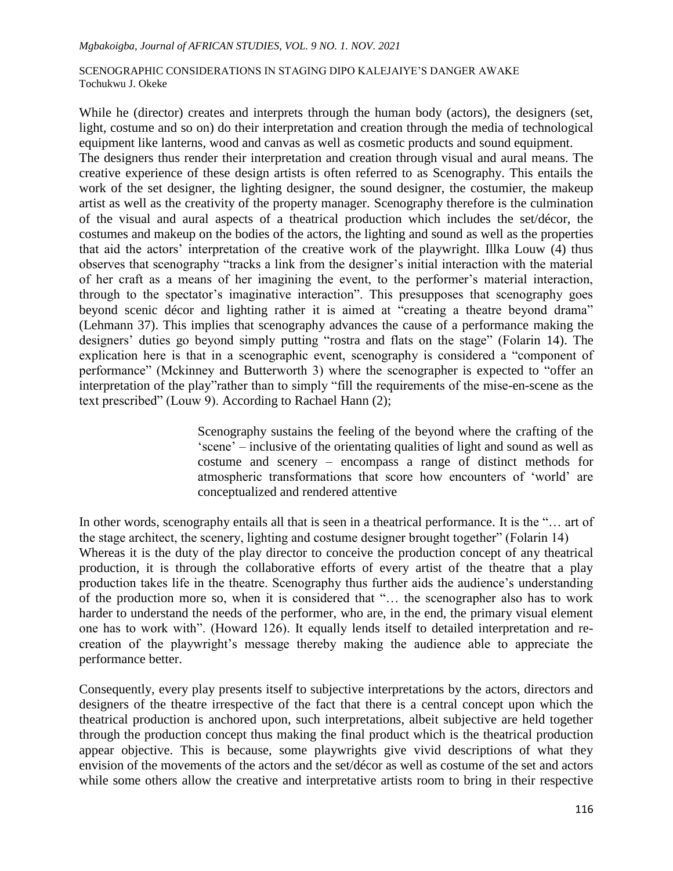While he (director) creates and interprets through the human body (actors), the designers (set, light, costume and so on) do their interpretation and creation through the media of technological equipment like lanterns, wood and canvas as well as cosmetic products and sound equipment.

The designers thus render their interpretation and creation through visual and aural means. The creative experience of these design artists is often referred to as Scenography. This entails the work of the set designer, the lighting designer, the sound designer, the costumier, the makeup artist as well as the creativity of the property manager. Scenography therefore is the culmination of the visual and aural aspects of a theatrical production which includes the set/décor, the costumes and makeup on the bodies of the actors, the lighting and sound as well as the properties that aid the actors" interpretation of the creative work of the playwright. Illka Louw (4) thus observes that scenography "tracks a link from the designer's initial interaction with the material of her craft as a means of her imagining the event, to the performer"s material interaction, through to the spectator's imaginative interaction". This presupposes that scenography goes beyond scenic décor and lighting rather it is aimed at "creating a theatre beyond drama" (Lehmann 37). This implies that scenography advances the cause of a performance making the designers' duties go beyond simply putting "rostra and flats on the stage" (Folarin 14). The explication here is that in a scenographic event, scenography is considered a "component of performance" (Mckinney and Butterworth 3) where the scenographer is expected to "offer an interpretation of the play"rather than to simply "fill the requirements of the mise-en-scene as the text prescribed" (Louw 9). According to Rachael Hann (2);

> Scenography sustains the feeling of the beyond where the crafting of the "scene" – inclusive of the orientating qualities of light and sound as well as costume and scenery – encompass a range of distinct methods for atmospheric transformations that score how encounters of "world" are conceptualized and rendered attentive

In other words, scenography entails all that is seen in a theatrical performance. It is the "... art of the stage architect, the scenery, lighting and costume designer brought together" (Folarin 14) Whereas it is the duty of the play director to conceive the production concept of any theatrical production, it is through the collaborative efforts of every artist of the theatre that a play production takes life in the theatre. Scenography thus further aids the audience"s understanding of the production more so, when it is considered that "… the scenographer also has to work harder to understand the needs of the performer, who are, in the end, the primary visual element one has to work with". (Howard 126). It equally lends itself to detailed interpretation and recreation of the playwright"s message thereby making the audience able to appreciate the performance better.

Consequently, every play presents itself to subjective interpretations by the actors, directors and designers of the theatre irrespective of the fact that there is a central concept upon which the theatrical production is anchored upon, such interpretations, albeit subjective are held together through the production concept thus making the final product which is the theatrical production appear objective. This is because, some playwrights give vivid descriptions of what they envision of the movements of the actors and the set/décor as well as costume of the set and actors while some others allow the creative and interpretative artists room to bring in their respective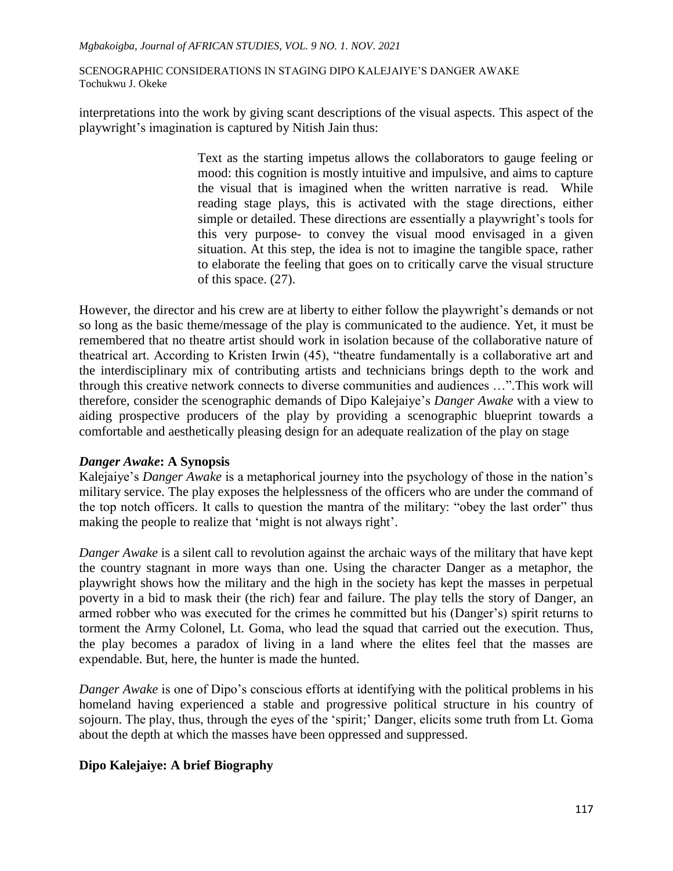interpretations into the work by giving scant descriptions of the visual aspects. This aspect of the playwright"s imagination is captured by Nitish Jain thus:

> Text as the starting impetus allows the collaborators to gauge feeling or mood: this cognition is mostly intuitive and impulsive, and aims to capture the visual that is imagined when the written narrative is read. While reading stage plays, this is activated with the stage directions, either simple or detailed. These directions are essentially a playwright's tools for this very purpose- to convey the visual mood envisaged in a given situation. At this step, the idea is not to imagine the tangible space, rather to elaborate the feeling that goes on to critically carve the visual structure of this space. (27).

However, the director and his crew are at liberty to either follow the playwright's demands or not so long as the basic theme/message of the play is communicated to the audience. Yet, it must be remembered that no theatre artist should work in isolation because of the collaborative nature of theatrical art. According to Kristen Irwin (45), "theatre fundamentally is a collaborative art and the interdisciplinary mix of contributing artists and technicians brings depth to the work and through this creative network connects to diverse communities and audiences …".This work will therefore, consider the scenographic demands of Dipo Kalejaiye"s *Danger Awake* with a view to aiding prospective producers of the play by providing a scenographic blueprint towards a comfortable and aesthetically pleasing design for an adequate realization of the play on stage

# *Danger Awake***: A Synopsis**

Kalejaiye"s *Danger Awake* is a metaphorical journey into the psychology of those in the nation"s military service. The play exposes the helplessness of the officers who are under the command of the top notch officers. It calls to question the mantra of the military: "obey the last order" thus making the people to realize that 'might is not always right'.

*Danger Awake* is a silent call to revolution against the archaic ways of the military that have kept the country stagnant in more ways than one. Using the character Danger as a metaphor, the playwright shows how the military and the high in the society has kept the masses in perpetual poverty in a bid to mask their (the rich) fear and failure. The play tells the story of Danger, an armed robber who was executed for the crimes he committed but his (Danger"s) spirit returns to torment the Army Colonel, Lt. Goma, who lead the squad that carried out the execution. Thus, the play becomes a paradox of living in a land where the elites feel that the masses are expendable. But, here, the hunter is made the hunted.

*Danger Awake* is one of Dipo"s conscious efforts at identifying with the political problems in his homeland having experienced a stable and progressive political structure in his country of sojourn. The play, thus, through the eyes of the 'spirit;' Danger, elicits some truth from Lt. Goma about the depth at which the masses have been oppressed and suppressed.

# **Dipo Kalejaiye: A brief Biography**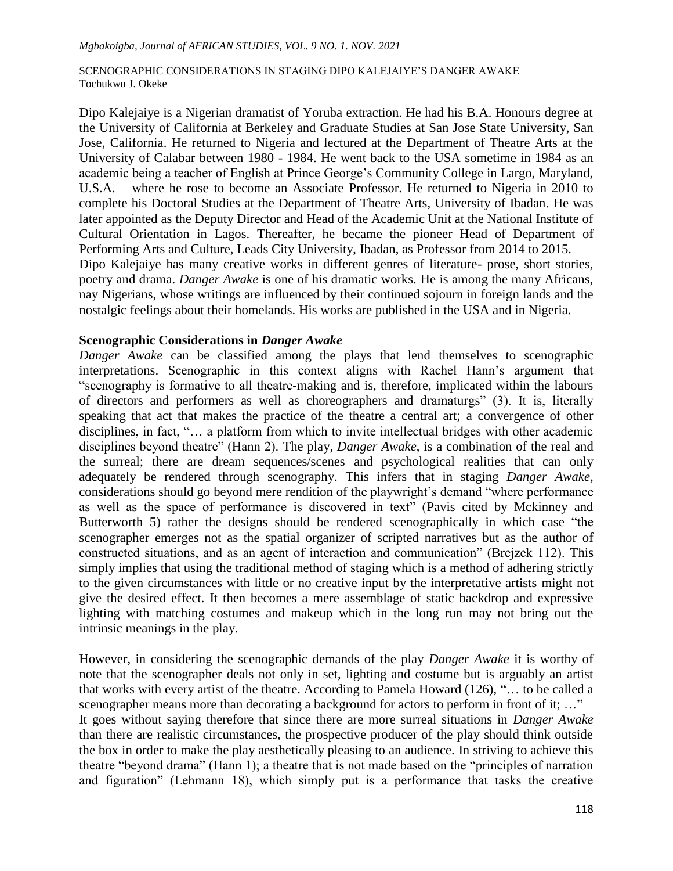Dipo Kalejaiye is a Nigerian dramatist of Yoruba extraction. He had his B.A. Honours degree at the University of California at Berkeley and Graduate Studies at San Jose State University, San Jose, California. He returned to Nigeria and lectured at the Department of Theatre Arts at the University of Calabar between 1980 - 1984. He went back to the USA sometime in 1984 as an academic being a teacher of English at Prince George's Community College in Largo, Maryland, U.S.A. – where he rose to become an Associate Professor. He returned to Nigeria in 2010 to complete his Doctoral Studies at the Department of Theatre Arts, University of Ibadan. He was later appointed as the Deputy Director and Head of the Academic Unit at the National Institute of Cultural Orientation in Lagos. Thereafter, he became the pioneer Head of Department of Performing Arts and Culture, Leads City University, Ibadan, as Professor from 2014 to 2015. Dipo Kalejaiye has many creative works in different genres of literature- prose, short stories, poetry and drama. *Danger Awake* is one of his dramatic works. He is among the many Africans, nay Nigerians, whose writings are influenced by their continued sojourn in foreign lands and the nostalgic feelings about their homelands. His works are published in the USA and in Nigeria.

## **Scenographic Considerations in** *Danger Awake*

*Danger Awake* can be classified among the plays that lend themselves to scenographic interpretations. Scenographic in this context aligns with Rachel Hann"s argument that "scenography is formative to all theatre-making and is, therefore, implicated within the labours of directors and performers as well as choreographers and dramaturgs" (3). It is, literally speaking that act that makes the practice of the theatre a central art; a convergence of other disciplines, in fact, "… a platform from which to invite intellectual bridges with other academic disciplines beyond theatre" (Hann 2). The play, *Danger Awake*, is a combination of the real and the surreal; there are dream sequences/scenes and psychological realities that can only adequately be rendered through scenography. This infers that in staging *Danger Awake*, considerations should go beyond mere rendition of the playwright's demand "where performance" as well as the space of performance is discovered in text" (Pavis cited by Mckinney and Butterworth 5) rather the designs should be rendered scenographically in which case "the scenographer emerges not as the spatial organizer of scripted narratives but as the author of constructed situations, and as an agent of interaction and communication" (Brejzek 112). This simply implies that using the traditional method of staging which is a method of adhering strictly to the given circumstances with little or no creative input by the interpretative artists might not give the desired effect. It then becomes a mere assemblage of static backdrop and expressive lighting with matching costumes and makeup which in the long run may not bring out the intrinsic meanings in the play.

However, in considering the scenographic demands of the play *Danger Awake* it is worthy of note that the scenographer deals not only in set, lighting and costume but is arguably an artist that works with every artist of the theatre. According to Pamela Howard (126), "… to be called a scenographer means more than decorating a background for actors to perform in front of it; ..." It goes without saying therefore that since there are more surreal situations in *Danger Awake* than there are realistic circumstances, the prospective producer of the play should think outside the box in order to make the play aesthetically pleasing to an audience. In striving to achieve this theatre "beyond drama" (Hann 1); a theatre that is not made based on the "principles of narration and figuration" (Lehmann 18), which simply put is a performance that tasks the creative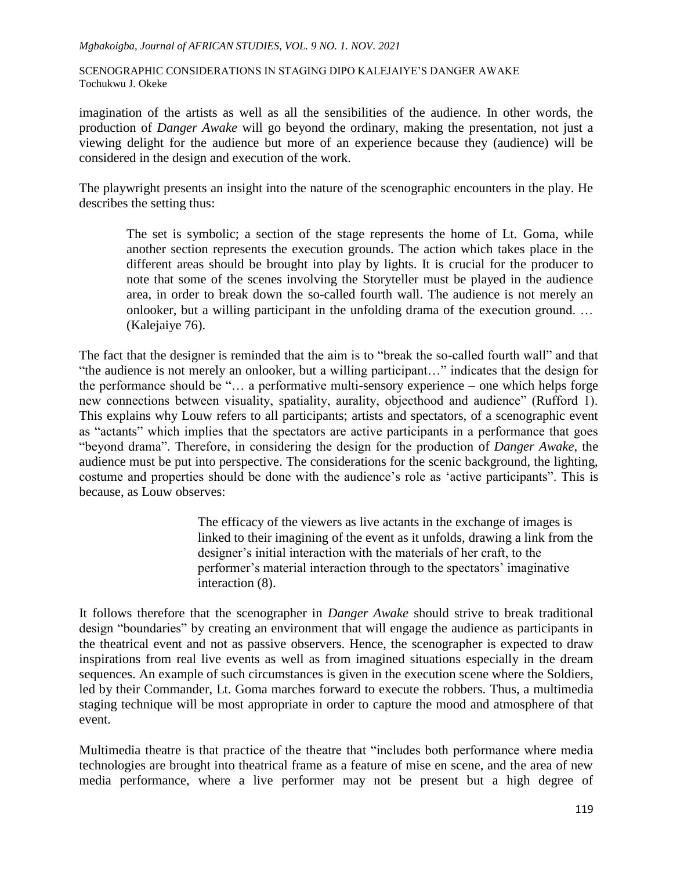imagination of the artists as well as all the sensibilities of the audience. In other words, the production of *Danger Awake* will go beyond the ordinary, making the presentation, not just a viewing delight for the audience but more of an experience because they (audience) will be considered in the design and execution of the work.

The playwright presents an insight into the nature of the scenographic encounters in the play. He describes the setting thus:

The set is symbolic; a section of the stage represents the home of Lt. Goma, while another section represents the execution grounds. The action which takes place in the different areas should be brought into play by lights. It is crucial for the producer to note that some of the scenes involving the Storyteller must be played in the audience area, in order to break down the so-called fourth wall. The audience is not merely an onlooker, but a willing participant in the unfolding drama of the execution ground. … (Kalejaiye 76).

The fact that the designer is reminded that the aim is to "break the so-called fourth wall" and that "the audience is not merely an onlooker, but a willing participant…" indicates that the design for the performance should be "… a performative multi-sensory experience – one which helps forge new connections between visuality, spatiality, aurality, objecthood and audience" (Rufford 1). This explains why Louw refers to all participants; artists and spectators, of a scenographic event as "actants" which implies that the spectators are active participants in a performance that goes "beyond drama". Therefore, in considering the design for the production of *Danger Awake*, the audience must be put into perspective. The considerations for the scenic background, the lighting, costume and properties should be done with the audience"s role as "active participants". This is because, as Louw observes:

> The efficacy of the viewers as live actants in the exchange of images is linked to their imagining of the event as it unfolds, drawing a link from the designer's initial interaction with the materials of her craft, to the performer's material interaction through to the spectators' imaginative interaction (8).

It follows therefore that the scenographer in *Danger Awake* should strive to break traditional design "boundaries" by creating an environment that will engage the audience as participants in the theatrical event and not as passive observers. Hence, the scenographer is expected to draw inspirations from real live events as well as from imagined situations especially in the dream sequences. An example of such circumstances is given in the execution scene where the Soldiers, led by their Commander, Lt. Goma marches forward to execute the robbers. Thus, a multimedia staging technique will be most appropriate in order to capture the mood and atmosphere of that event.

Multimedia theatre is that practice of the theatre that "includes both performance where media technologies are brought into theatrical frame as a feature of mise en scene, and the area of new media performance, where a live performer may not be present but a high degree of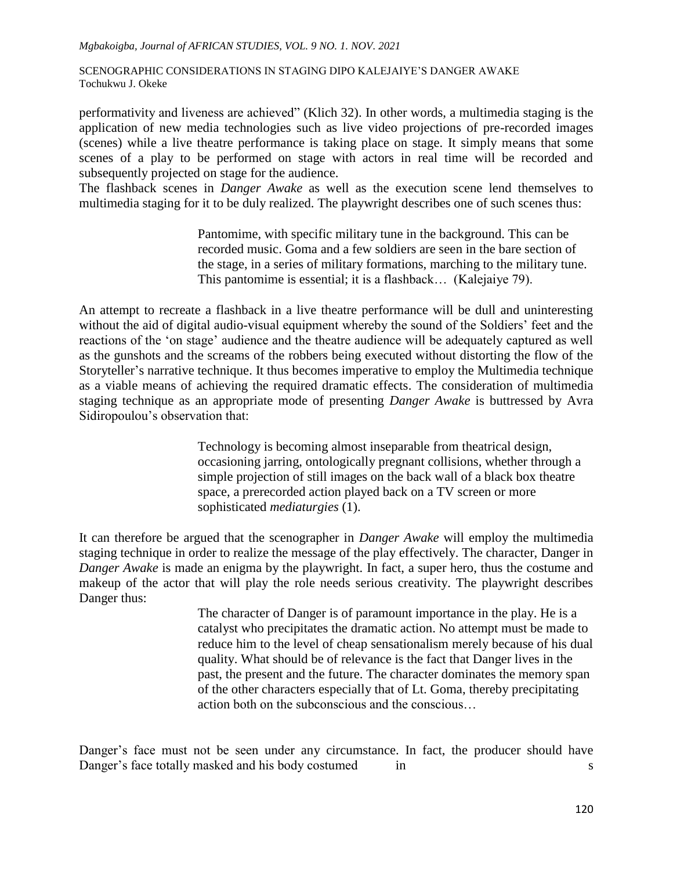performativity and liveness are achieved" (Klich 32). In other words, a multimedia staging is the application of new media technologies such as live video projections of pre-recorded images (scenes) while a live theatre performance is taking place on stage. It simply means that some scenes of a play to be performed on stage with actors in real time will be recorded and subsequently projected on stage for the audience.

The flashback scenes in *Danger Awake* as well as the execution scene lend themselves to multimedia staging for it to be duly realized. The playwright describes one of such scenes thus:

> Pantomime, with specific military tune in the background. This can be recorded music. Goma and a few soldiers are seen in the bare section of the stage, in a series of military formations, marching to the military tune. This pantomime is essential; it is a flashback… (Kalejaiye 79).

An attempt to recreate a flashback in a live theatre performance will be dull and uninteresting without the aid of digital audio-visual equipment whereby the sound of the Soldiers' feet and the reactions of the "on stage" audience and the theatre audience will be adequately captured as well as the gunshots and the screams of the robbers being executed without distorting the flow of the Storyteller's narrative technique. It thus becomes imperative to employ the Multimedia technique as a viable means of achieving the required dramatic effects. The consideration of multimedia staging technique as an appropriate mode of presenting *Danger Awake* is buttressed by Avra Sidiropoulou"s observation that:

> Technology is becoming almost inseparable from theatrical design, occasioning jarring, ontologically pregnant collisions, whether through a simple projection of still images on the back wall of a black box theatre space, a prerecorded action played back on a TV screen or more sophisticated *mediaturgies* (1).

It can therefore be argued that the scenographer in *Danger Awake* will employ the multimedia staging technique in order to realize the message of the play effectively. The character, Danger in *Danger Awake* is made an enigma by the playwright. In fact, a super hero, thus the costume and makeup of the actor that will play the role needs serious creativity. The playwright describes Danger thus:

> The character of Danger is of paramount importance in the play. He is a catalyst who precipitates the dramatic action. No attempt must be made to reduce him to the level of cheap sensationalism merely because of his dual quality. What should be of relevance is the fact that Danger lives in the past, the present and the future. The character dominates the memory span of the other characters especially that of Lt. Goma, thereby precipitating action both on the subconscious and the conscious…

Danger's face must not be seen under any circumstance. In fact, the producer should have Danger's face totally masked and his body costumed in s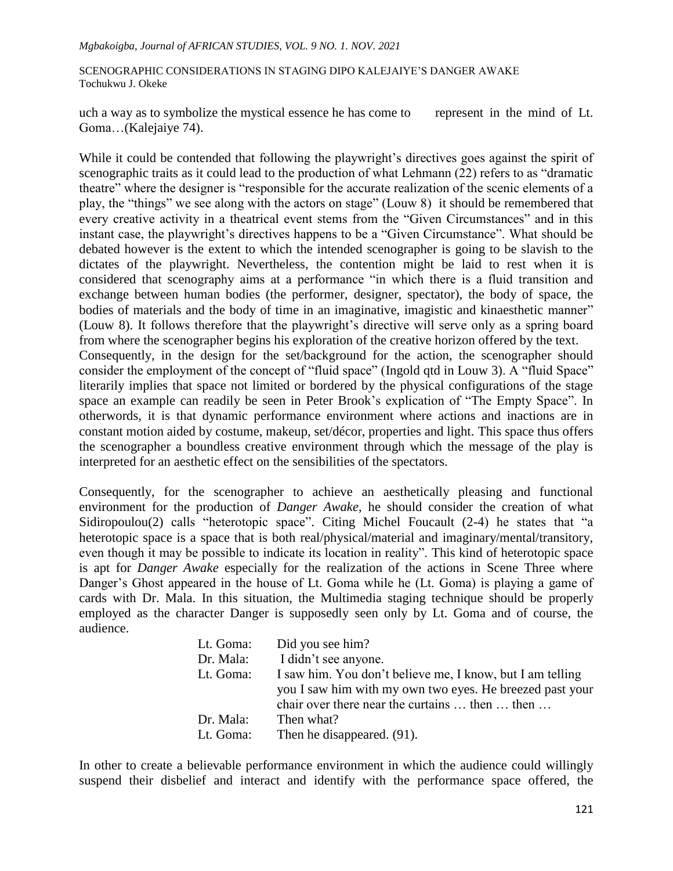uch a way as to symbolize the mystical essence he has come to represent in the mind of Lt. Goma…(Kalejaiye 74).

While it could be contended that following the playwright's directives goes against the spirit of scenographic traits as it could lead to the production of what Lehmann (22) refers to as "dramatic theatre" where the designer is "responsible for the accurate realization of the scenic elements of a play, the "things" we see along with the actors on stage" (Louw 8) it should be remembered that every creative activity in a theatrical event stems from the "Given Circumstances" and in this instant case, the playwright's directives happens to be a "Given Circumstance". What should be debated however is the extent to which the intended scenographer is going to be slavish to the dictates of the playwright. Nevertheless, the contention might be laid to rest when it is considered that scenography aims at a performance "in which there is a fluid transition and exchange between human bodies (the performer, designer, spectator), the body of space, the bodies of materials and the body of time in an imaginative, imagistic and kinaesthetic manner" (Louw 8). It follows therefore that the playwright"s directive will serve only as a spring board from where the scenographer begins his exploration of the creative horizon offered by the text. Consequently, in the design for the set/background for the action, the scenographer should consider the employment of the concept of "fluid space" (Ingold qtd in Louw 3). A "fluid Space" literarily implies that space not limited or bordered by the physical configurations of the stage space an example can readily be seen in Peter Brook"s explication of "The Empty Space". In otherwords, it is that dynamic performance environment where actions and inactions are in constant motion aided by costume, makeup, set/décor, properties and light. This space thus offers

Consequently, for the scenographer to achieve an aesthetically pleasing and functional environment for the production of *Danger Awake*, he should consider the creation of what Sidiropoulou(2) calls "heterotopic space". Citing Michel Foucault (2-4) he states that "a heterotopic space is a space that is both real/physical/material and imaginary/mental/transitory, even though it may be possible to indicate its location in reality". This kind of heterotopic space is apt for *Danger Awake* especially for the realization of the actions in Scene Three where Danger's Ghost appeared in the house of Lt. Goma while he (Lt. Goma) is playing a game of cards with Dr. Mala. In this situation, the Multimedia staging technique should be properly employed as the character Danger is supposedly seen only by Lt. Goma and of course, the audience.

the scenographer a boundless creative environment through which the message of the play is

interpreted for an aesthetic effect on the sensibilities of the spectators.

| Lt. Goma: | Did you see him?                                          |
|-----------|-----------------------------------------------------------|
| Dr. Mala: | I didn't see anyone.                                      |
| Lt. Goma: | I saw him. You don't believe me, I know, but I am telling |
|           | you I saw him with my own two eyes. He breezed past your  |
|           | chair over there near the curtains  then  then            |
| Dr. Mala: | Then what?                                                |
| Lt. Goma: | Then he disappeared. (91).                                |

In other to create a believable performance environment in which the audience could willingly suspend their disbelief and interact and identify with the performance space offered, the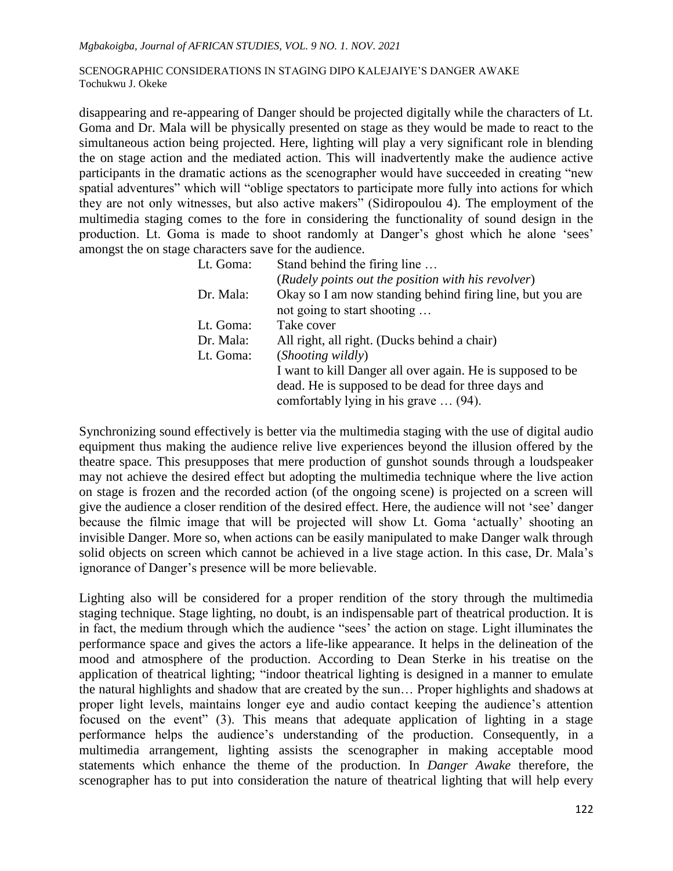disappearing and re-appearing of Danger should be projected digitally while the characters of Lt. Goma and Dr. Mala will be physically presented on stage as they would be made to react to the simultaneous action being projected. Here, lighting will play a very significant role in blending the on stage action and the mediated action. This will inadvertently make the audience active participants in the dramatic actions as the scenographer would have succeeded in creating "new spatial adventures" which will "oblige spectators to participate more fully into actions for which they are not only witnesses, but also active makers" (Sidiropoulou 4). The employment of the multimedia staging comes to the fore in considering the functionality of sound design in the production. Lt. Goma is made to shoot randomly at Danger's ghost which he alone 'sees' amongst the on stage characters save for the audience.

| Lt. Goma: | Stand behind the firing line                               |
|-----------|------------------------------------------------------------|
|           | (Rudely points out the position with his revolver)         |
| Dr. Mala: | Okay so I am now standing behind firing line, but you are  |
|           | not going to start shooting                                |
| Lt. Goma: | Take cover                                                 |
| Dr. Mala: | All right, all right. (Ducks behind a chair)               |
| Lt. Goma: | (Shooting wildly)                                          |
|           | I want to kill Danger all over again. He is supposed to be |
|           | dead. He is supposed to be dead for three days and         |
|           | comfortably lying in his grave  (94).                      |

Synchronizing sound effectively is better via the multimedia staging with the use of digital audio equipment thus making the audience relive live experiences beyond the illusion offered by the theatre space. This presupposes that mere production of gunshot sounds through a loudspeaker may not achieve the desired effect but adopting the multimedia technique where the live action on stage is frozen and the recorded action (of the ongoing scene) is projected on a screen will give the audience a closer rendition of the desired effect. Here, the audience will not "see" danger because the filmic image that will be projected will show Lt. Goma "actually" shooting an invisible Danger. More so, when actions can be easily manipulated to make Danger walk through solid objects on screen which cannot be achieved in a live stage action. In this case, Dr. Mala"s ignorance of Danger's presence will be more believable.

Lighting also will be considered for a proper rendition of the story through the multimedia staging technique. Stage lighting, no doubt, is an indispensable part of theatrical production. It is in fact, the medium through which the audience "sees" the action on stage. Light illuminates the performance space and gives the actors a life-like appearance. It helps in the delineation of the mood and atmosphere of the production. According to Dean Sterke in his treatise on the application of theatrical lighting; "indoor theatrical lighting is designed in a manner to emulate the natural highlights and shadow that are created by the sun… Proper highlights and shadows at proper light levels, maintains longer eye and audio contact keeping the audience's attention focused on the event" (3). This means that adequate application of lighting in a stage performance helps the audience's understanding of the production. Consequently, in a multimedia arrangement, lighting assists the scenographer in making acceptable mood statements which enhance the theme of the production. In *Danger Awake* therefore, the scenographer has to put into consideration the nature of theatrical lighting that will help every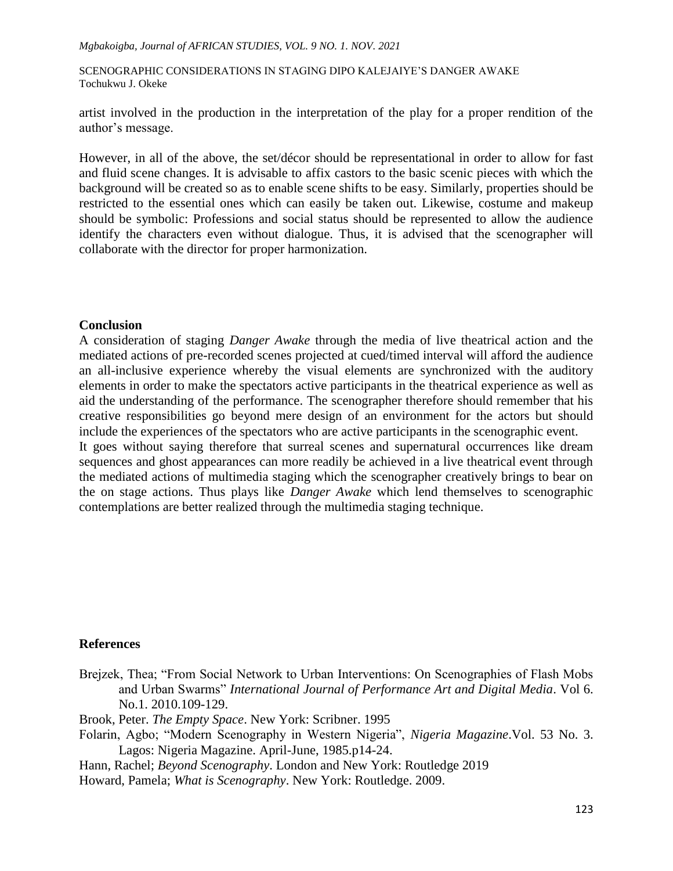#### *Mgbakoigba, Journal of AFRICAN STUDIES, VOL. 9 NO. 1. NOV. 2021*

SCENOGRAPHIC CONSIDERATIONS IN STAGING DIPO KALEJAIYE"S DANGER AWAKE Tochukwu J. Okeke

artist involved in the production in the interpretation of the play for a proper rendition of the author's message.

However, in all of the above, the set/décor should be representational in order to allow for fast and fluid scene changes. It is advisable to affix castors to the basic scenic pieces with which the background will be created so as to enable scene shifts to be easy. Similarly, properties should be restricted to the essential ones which can easily be taken out. Likewise, costume and makeup should be symbolic: Professions and social status should be represented to allow the audience identify the characters even without dialogue. Thus, it is advised that the scenographer will collaborate with the director for proper harmonization.

### **Conclusion**

A consideration of staging *Danger Awake* through the media of live theatrical action and the mediated actions of pre-recorded scenes projected at cued/timed interval will afford the audience an all-inclusive experience whereby the visual elements are synchronized with the auditory elements in order to make the spectators active participants in the theatrical experience as well as aid the understanding of the performance. The scenographer therefore should remember that his creative responsibilities go beyond mere design of an environment for the actors but should include the experiences of the spectators who are active participants in the scenographic event. It goes without saying therefore that surreal scenes and supernatural occurrences like dream sequences and ghost appearances can more readily be achieved in a live theatrical event through the mediated actions of multimedia staging which the scenographer creatively brings to bear on the on stage actions. Thus plays like *Danger Awake* which lend themselves to scenographic contemplations are better realized through the multimedia staging technique.

# **References**

Brejzek, Thea; "From Social Network to Urban Interventions: On Scenographies of Flash Mobs and Urban Swarms" *International Journal of Performance Art and Digital Media*. Vol 6. No.1. 2010.109-129.

Brook, Peter. *The Empty Space*. New York: Scribner. 1995

Folarin, Agbo; "Modern Scenography in Western Nigeria", *Nigeria Magazine*.Vol. 53 No. 3. Lagos: Nigeria Magazine. April-June, 1985.p14-24.

Hann, Rachel; *Beyond Scenography*. London and New York: Routledge 2019

Howard, Pamela; *What is Scenography*. New York: Routledge. 2009.